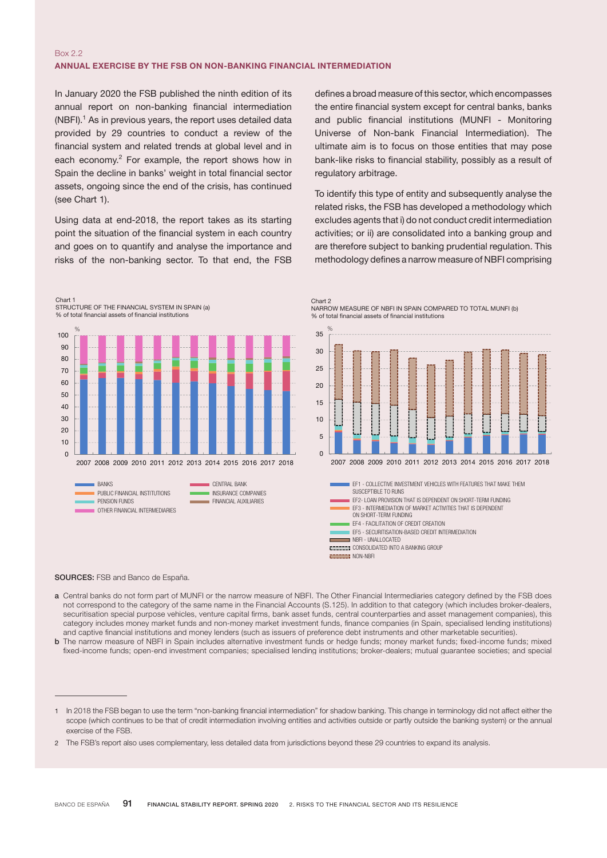## Box 2.2 ANNUAL EXERCISE BY THE FSB ON NON-BANKING FINANCIAL INTERMEDIATION

In January 2020 the FSB published the ninth edition of its annual report on non-banking financial intermediation  $(NBFI).<sup>1</sup>$  As in previous years, the report uses detailed data provided by 29 countries to conduct a review of the financial system and related trends at global level and in each economy. $2$  For example, the report shows how in Spain the decline in banks' weight in total financial sector assets, ongoing since the end of the crisis, has continued (see Chart 1).

Using data at end-2018, the report takes as its starting point the situation of the financial system in each country and goes on to quantify and analyse the importance and risks of the non-banking sector. To that end, the FSB

Chart 1 STRUCTURE OF THE FINANCIAL SYSTEM IN SPAIN (a) % of total financial assets of financial institutions



defines a broad measure of this sector, which encompasses the entire financial system except for central banks, banks and public financial institutions (MUNFI - Monitoring Universe of Non-bank Financial Intermediation). The ultimate aim is to focus on those entities that may pose bank-like risks to financial stability, possibly as a result of regulatory arbitrage.

To identify this type of entity and subsequently analyse the related risks, the FSB has developed a methodology which excludes agents that i) do not conduct credit intermediation activities; or ii) are consolidated into a banking group and are therefore subject to banking prudential regulation. This methodology defines a narrow measure of NBFI comprising





## SOURCES: FSB and Banco de España.

- a Central banks do not form part of MUNFI or the narrow measure of NBFI. The Other Financial Intermediaries category defined by the FSB does not correspond to the category of the same name in the Financial Accounts (S.125). In addition to that category (which includes broker-dealers, securitisation special purpose vehicles, venture capital firms, bank asset funds, central counterparties and asset management companies), this category includes money market funds and non-money market investment funds, finance companies (in Spain, specialised lending institutions) and captive financial institutions and money lenders (such as issuers of preference debt instruments and other marketable securities).
- **b** The narrow measure of NBFI in Spain includes alternative investment funds or hedge funds; money market funds; fixed-income funds; mixed fixed-income funds; open-end investment companies; specialised lending institutions; broker-dealers; mutual guarantee societies; and special

<sup>1</sup> In 2018 the FSB began to use the term "non-banking financial intermediation" for shadow banking. This change in terminology did not affect either the scope (which continues to be that of credit intermediation involving entities and activities outside or partly outside the banking system) or the annual exercise of the FSB.

<sup>2</sup> The FSB's report also uses complementary, less detailed data from jurisdictions beyond these 29 countries to expand its analysis.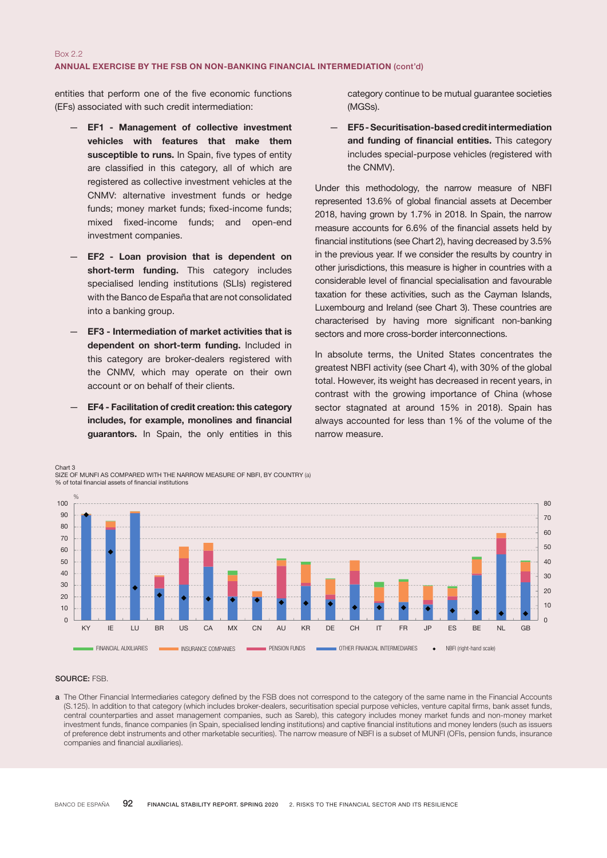entities that perform one of the five economic functions (EFs) associated with such credit intermediation:

- EF1 Management of collective investment vehicles with features that make them susceptible to runs. In Spain, five types of entity are classified in this category, all of which are registered as collective investment vehicles at the CNMV: alternative investment funds or hedge funds; money market funds; fixed-income funds; mixed fixed-income funds; and open-end investment companies.
- EF2 Loan provision that is dependent on short-term funding. This category includes specialised lending institutions (SLIs) registered with the Banco de España that are not consolidated into a banking group.
- EF3 Intermediation of market activities that is dependent on short-term funding. Included in this category are broker-dealers registered with the CNMV, which may operate on their own account or on behalf of their clients.
- EF4 Facilitation of credit creation: this category includes, for example, monolines and financial guarantors. In Spain, the only entities in this

category continue to be mutual guarantee societies (MGSs).

— EF5 - Securitisation-based credit intermediation and funding of financial entities. This category includes special-purpose vehicles (registered with the CNMV).

Under this methodology, the narrow measure of NBFI represented 13.6% of global financial assets at December 2018, having grown by 1.7% in 2018. In Spain, the narrow measure accounts for 6.6% of the financial assets held by financial institutions (see Chart 2), having decreased by 3.5% in the previous year. If we consider the results by country in other jurisdictions, this measure is higher in countries with a considerable level of financial specialisation and favourable taxation for these activities, such as the Cayman Islands, Luxembourg and Ireland (see Chart 3). These countries are characterised by having more significant non-banking sectors and more cross-border interconnections.

In absolute terms, the United States concentrates the greatest NBFI activity (see Chart 4), with 30% of the global total. However, its weight has decreased in recent years, in contrast with the growing importance of China (whose sector stagnated at around 15% in 2018). Spain has always accounted for less than 1% of the volume of the narrow measure.



SOURCE: FSB.

Chart 3

a The Other Financial Intermediaries category defined by the FSB does not correspond to the category of the same name in the Financial Accounts (S.125). In addition to that category (which includes broker-dealers, securitisation special purpose vehicles, venture capital firms, bank asset funds, central counterparties and asset management companies, such as Sareb), this category includes money market funds and non-money market investment funds, finance companies (in Spain, specialised lending institutions) and captive financial institutions and money lenders (such as issuers of preference debt instruments and other marketable securities). The narrow measure of NBFI is a subset of MUNFI (OFIs, pension funds, insurance companies and financial auxiliaries).